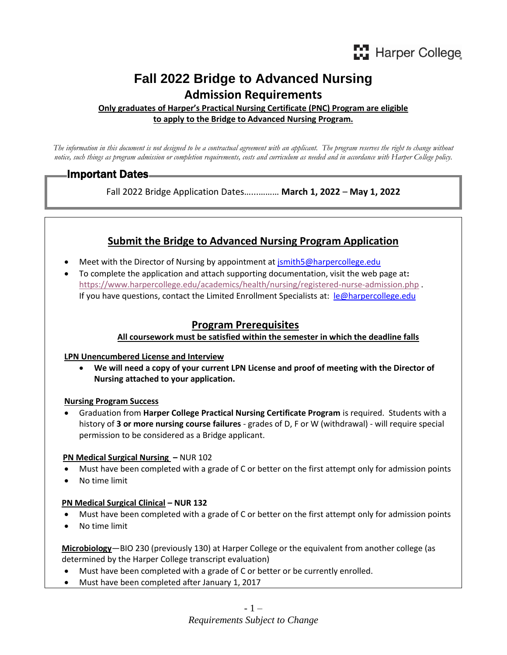# **Fall 2022 Bridge to Advanced Nursing Admission Requirements**

**Only graduates of Harper's Practical Nursing Certificate (PNC) Program are eligible to apply to the Bridge to Advanced Nursing Program.**

*The information in this document is not designed to be a contractual agreement with an applicant. The program reserves the right to change without notice, such things as program admission or completion requirements, costs and curriculum as needed and in accordance with Harper College policy.*

# Important Dates

Fall 2022 Bridge Application Dates…...……… **March 1, 2022** – **May 1, 2022**

# **Submit the Bridge to Advanced Nursing Program Application**

- Meet with the Director of Nursing by appointment at [jsmith5@harpercollege.edu](mailto:jsmith5@harpercollege.edu)
- To complete the application and attach supporting documentation, visit the web page at**:** <https://www.harpercollege.edu/academics/health/nursing/registered-nurse-admission.php> . If you have questions, contact the Limited Enrollment Specialists at: [le@harpercollege.edu](mailto:le@harpercollege.edu)

# **Program Prerequisites**

#### **All coursework must be satisfied within the semester in which the deadline falls**

#### **LPN Unencumbered License and Interview**

• **We will need a copy of your current LPN License and proof of meeting with the Director of Nursing attached to your application.**

#### **Nursing Program Success**

• Graduation from **Harper College Practical Nursing Certificate Program** is required. Students with a history of **3 or more nursing course failures** - grades of D, F or W (withdrawal) - will require special permission to be considered as a Bridge applicant.

#### **PN Medical Surgical Nursing –** NUR 102

- Must have been completed with a grade of C or better on the first attempt only for admission points
- No time limit

## **PN Medical Surgical Clinical – NUR 132**

- Must have been completed with a grade of C or better on the first attempt only for admission points
- No time limit

 **Microbiology**—BIO 230 (previously 130) at Harper College or the equivalent from another college (as determined by the Harper College transcript evaluation)

- Must have been completed with a grade of C or better or be currently enrolled.
- Must have been completed after January 1, 2017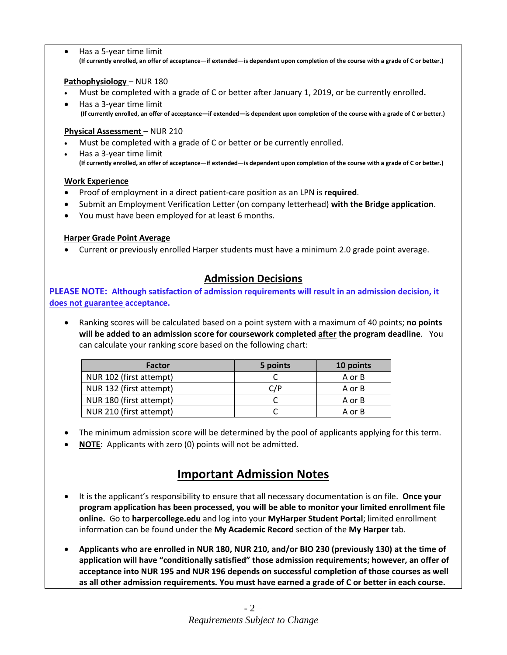• Has a 5-year time limit **(If currently enrolled, an offer of acceptance—if extended—is dependent upon completion of the course with a grade of C or better.)**

#### **Pathophysiology** – NUR 180

- Must be completed with a grade of C or better after January 1, 2019, or be currently enrolled**.**
- Has a 3-year time limit **(If currently enrolled, an offer of acceptance—if extended—is dependent upon completion of the course with a grade of C or better.)**

## **Physical Assessment** – NUR 210

- Must be completed with a grade of C or better or be currently enrolled.
- Has a 3-year time limit **(If currently enrolled, an offer of acceptance—if extended—is dependent upon completion of the course with a grade of C or better.)**

### **Work Experience**

- Proof of employment in a direct patient-care position as an LPN is **required**.
- Submit an Employment Verification Letter (on company letterhead) **with the Bridge application**.
- You must have been employed for at least 6 months.

## **Harper Grade Point Average**

• Current or previously enrolled Harper students must have a minimum 2.0 grade point average.

# **Admission Decisions**

**PLEASE NOTE: Although satisfaction of admission requirements will result in an admission decision, it does not guarantee acceptance.** 

• Ranking scores will be calculated based on a point system with a maximum of 40 points; **no points will be added to an admission score for coursework completed after the program deadline**. You can calculate your ranking score based on the following chart:

| <b>Factor</b>           | 5 points | 10 points |
|-------------------------|----------|-----------|
| NUR 102 (first attempt) |          | A or B    |
| NUR 132 (first attempt) | C/P      | A or B    |
| NUR 180 (first attempt) |          | A or B    |
| NUR 210 (first attempt) |          | A or B    |

- The minimum admission score will be determined by the pool of applicants applying for this term.
- **NOTE**: Applicants with zero (0) points will not be admitted.

# **Important Admission Notes**

- It is the applicant's responsibility to ensure that all necessary documentation is on file. **Once your program application has been processed, you will be able to monitor your limited enrollment file online.** Go to **harpercollege.edu** and log into your **MyHarper Student Portal**; limited enrollment information can be found under the **My Academic Record** section of the **My Harper** tab.
- **Applicants who are enrolled in NUR 180, NUR 210, and/or BIO 230 (previously 130) at the time of application will have "conditionally satisfied" those admission requirements; however, an offer of acceptance into NUR 195 and NUR 196 depends on successful completion of those courses as well as all other admission requirements. You must have earned a grade of C or better in each course.**